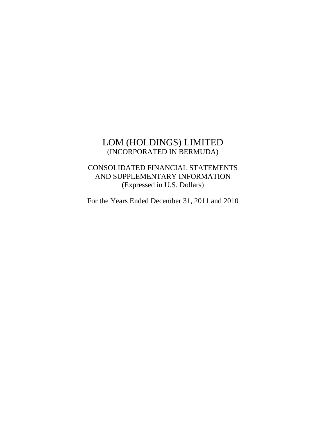# LOM (HOLDINGS) LIMITED (INCORPORATED IN BERMUDA)

## CONSOLIDATED FINANCIAL STATEMENTS AND SUPPLEMENTARY INFORMATION (Expressed in U.S. Dollars)

For the Years Ended December 31, 2011 and 2010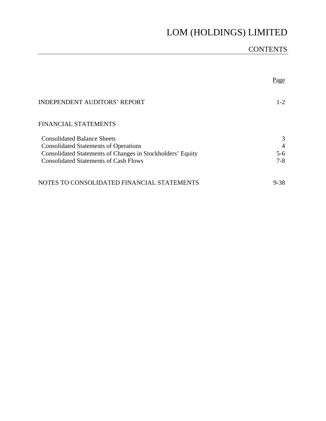# **CONTENTS**

|                                                                                                            | Page       |
|------------------------------------------------------------------------------------------------------------|------------|
| <b>INDEPENDENT AUDITORS' REPORT</b>                                                                        | $1 - 2$    |
| <b>FINANCIAL STATEMENTS</b>                                                                                |            |
| <b>Consolidated Balance Sheets</b>                                                                         | 3          |
| <b>Consolidated Statements of Operations</b>                                                               | 4<br>$5-6$ |
| Consolidated Statements of Changes in Stockholders' Equity<br><b>Consolidated Statements of Cash Flows</b> | $7 - 8$    |
| NOTES TO CONSOLIDATED FINANCIAL STATEMENTS                                                                 | 9-38       |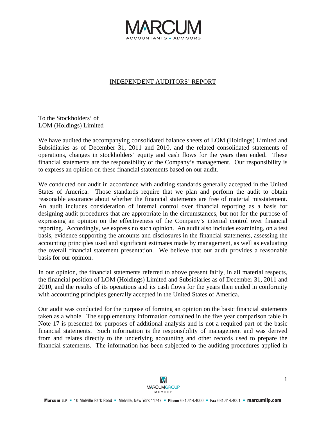

## INDEPENDENT AUDITORS' REPORT

To the Stockholders' of LOM (Holdings) Limited

We have audited the accompanying consolidated balance sheets of LOM (Holdings) Limited and Subsidiaries as of December 31, 2011 and 2010, and the related consolidated statements of operations, changes in stockholders' equity and cash flows for the years then ended. These financial statements are the responsibility of the Company's management. Our responsibility is to express an opinion on these financial statements based on our audit.

We conducted our audit in accordance with auditing standards generally accepted in the United States of America. Those standards require that we plan and perform the audit to obtain reasonable assurance about whether the financial statements are free of material misstatement. An audit includes consideration of internal control over financial reporting as a basis for designing audit procedures that are appropriate in the circumstances, but not for the purpose of expressing an opinion on the effectiveness of the Company's internal control over financial reporting. Accordingly, we express no such opinion. An audit also includes examining, on a test basis, evidence supporting the amounts and disclosures in the financial statements, assessing the accounting principles used and significant estimates made by management, as well as evaluating the overall financial statement presentation. We believe that our audit provides a reasonable basis for our opinion.

In our opinion, the financial statements referred to above present fairly, in all material respects, the financial position of LOM (Holdings) Limited and Subsidiaries as of December 31, 2011 and 2010, and the results of its operations and its cash flows for the years then ended in conformity with accounting principles generally accepted in the United States of America.

Our audit was conducted for the purpose of forming an opinion on the basic financial statements taken as a whole. The supplementary information contained in the five year comparison table in Note 17 is presented for purposes of additional analysis and is not a required part of the basic financial statements. Such information is the responsibility of management and was derived from and relates directly to the underlying accounting and other records used to prepare the financial statements. The information has been subjected to the auditing procedures applied in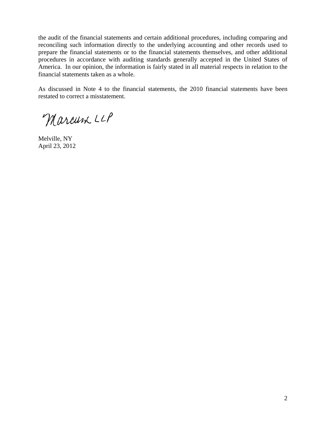the audit of the financial statements and certain additional procedures, including comparing and reconciling such information directly to the underlying accounting and other records used to prepare the financial statements or to the financial statements themselves, and other additional procedures in accordance with auditing standards generally accepted in the United States of America. In our opinion, the information is fairly stated in all material respects in relation to the financial statements taken as a whole.

As discussed in Note 4 to the financial statements, the 2010 financial statements have been restated to correct a misstatement.

Marcum LLP

Melville, NY April 23, 2012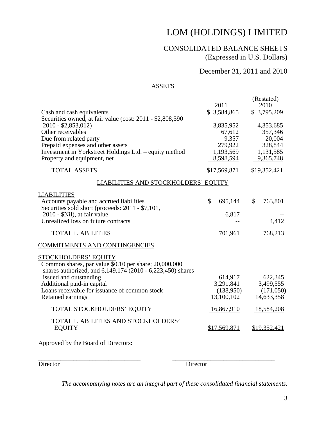# CONSOLIDATED BALANCE SHEETS (Expressed in U.S. Dollars)

December 31, 2011 and 2010

## **ASSETS**

|                                                            |                     | (Restated)           |
|------------------------------------------------------------|---------------------|----------------------|
|                                                            | 2011                | 2010                 |
| Cash and cash equivalents                                  | \$3,584,865         | \$3,795,209          |
| Securities owned, at fair value (cost: 2011 - \$2,808,590  |                     |                      |
| $2010 - $2,853,012$<br>Other receivables                   | 3,835,952<br>67,612 | 4,353,685<br>357,346 |
| Due from related party                                     | 9,357               | 20,004               |
| Prepaid expenses and other assets                          | 279,922             | 328,844              |
| Investment in Yorkstreet Holdings Ltd. – equity method     | 1,193,569           | 1,131,585            |
| Property and equipment, net                                | 8,598,594           | 9,365,748            |
| <b>TOTAL ASSETS</b>                                        | \$17,569,871        | \$19,352,421         |
| LIABILITIES AND STOCKHOLDERS' EQUITY                       |                     |                      |
| LIABILITIES                                                |                     |                      |
| Accounts payable and accrued liabilities                   | \$<br>695,144       | \$<br>763,801        |
| Securities sold short (proceeds: 2011 - \$7,101,           |                     |                      |
| 2010 - \$Nil), at fair value                               | 6,817               |                      |
| Unrealized loss on future contracts                        |                     | 4,412                |
| <b>TOTAL LIABILITIES</b>                                   | 701,961             | 768,213              |
| COMMITMENTS AND CONTINGENCIES                              |                     |                      |
| STOCKHOLDERS' EQUITY                                       |                     |                      |
| Common shares, par value \$0.10 per share; 20,000,000      |                     |                      |
| shares authorized, and 6,149,174 (2010 - 6,223,450) shares | 614,917             | 622,345              |
| issued and outstanding<br>Additional paid-in capital       | 3,291,841           | 3,499,555            |
| Loans receivable for issuance of common stock              | (138,950)           | (171,050)            |
| Retained earnings                                          | 13,100,102          | 14,633,358           |
| TOTAL STOCKHOLDERS' EQUITY                                 | 16,867,910          | 18,584,208           |
| TOTAL LIABILITIES AND STOCKHOLDERS'                        |                     |                      |
| <b>EQUITY</b>                                              | \$17,569,871        | \$19,352,421         |
|                                                            |                     |                      |

Approved by the Board of Directors:

\_\_\_\_\_\_\_\_\_\_\_\_\_\_\_\_\_\_\_\_\_\_\_\_\_\_\_\_\_\_\_\_ \_\_\_\_\_\_\_\_\_\_\_\_\_\_\_\_\_\_\_\_\_\_\_\_\_\_\_\_\_\_\_\_ Director Director Director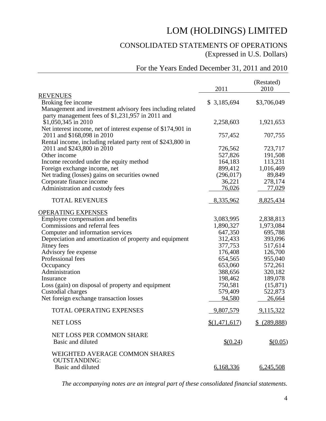# CONSOLIDATED STATEMENTS OF OPERATIONS (Expressed in U.S. Dollars)

## For the Years Ended December 31, 2011 and 2010

|                                                              | 2011          | (Restated)<br>2010 |
|--------------------------------------------------------------|---------------|--------------------|
| REVENUES                                                     |               |                    |
| Broking fee income                                           | \$3,185,694   | \$3,706,049        |
| Management and investment advisory fees including related    |               |                    |
| party management fees of \$1,231,957 in 2011 and             |               |                    |
| \$1,050,345 in 2010                                          | 2,258,603     | 1,921,653          |
| Net interest income, net of interest expense of \$174,901 in |               |                    |
| 2011 and \$168,098 in 2010                                   | 757,452       | 707,755            |
| Rental income, including related party rent of \$243,800 in  |               |                    |
| 2011 and \$243,800 in 2010                                   | 726,562       | 723,717            |
| Other income                                                 | 527,826       | 191,508            |
| Income recorded under the equity method                      | 164,183       | 113,231            |
| Foreign exchange income, net                                 | 899,412       | 1,016,469          |
| Net trading (losses) gains on securities owned               | (296, 017)    | 89,849             |
| Corporate finance income                                     | 36,221        | 278,174            |
| Administration and custody fees                              | 76,026        | 77,029             |
|                                                              |               |                    |
| <b>TOTAL REVENUES</b>                                        | 8,335,962     | 8,825,434          |
| <b>OPERATING EXPENSES</b>                                    |               |                    |
| Employee compensation and benefits                           | 3,083,995     | 2,838,813          |
| Commissions and referral fees                                |               |                    |
|                                                              | 1,890,327     | 1,973,084          |
| Computer and information services                            | 647,350       | 695,788            |
| Depreciation and amortization of property and equipment      | 312,433       | 393,096            |
| Jitney fees                                                  | 377,753       | 517,614            |
| Advisory fee expense                                         | 176,408       | 126,700            |
| Professional fees                                            | 654,565       | 955,040            |
| Occupancy                                                    | 653,060       | 572,261            |
| Administration                                               | 388,656       | 320,182            |
| Insurance                                                    | 198,462       | 189,078            |
| Loss (gain) on disposal of property and equipment            | 750,581       | (15, 871)          |
| Custodial charges                                            | 579,409       | 522,873            |
| Net foreign exchange transaction losses                      | 94,580        | 26,664             |
| <b>TOTAL OPERATING EXPENSES</b>                              | 9,807,579     | 9,115,322          |
| <b>NET LOSS</b>                                              | \$(1,471,617) | \$ (289, 888)      |
|                                                              |               |                    |
| NET LOSS PER COMMON SHARE                                    |               |                    |
| Basic and diluted                                            | $$$ (0.24)    | \$ (0.05)          |
|                                                              |               |                    |
| WEIGHTED AVERAGE COMMON SHARES                               |               |                    |
| <b>OUTSTANDING:</b>                                          |               |                    |
| Basic and diluted                                            | 6,168,336     | 6,245,508          |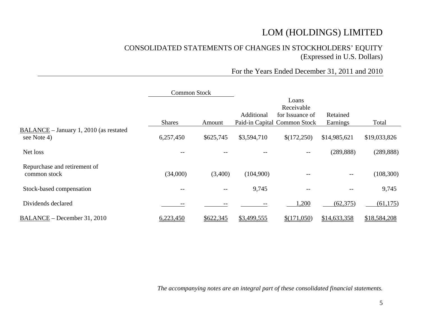## CONSOLIDATED STATEMENTS OF CHANGES IN STOCKHOLDERS' EQUITY (Expressed in U.S. Dollars)

## For the Years Ended December 31, 2011 and 2010

|                                                              | <b>Common Stock</b> |           |             |                                                                        |                      |              |
|--------------------------------------------------------------|---------------------|-----------|-------------|------------------------------------------------------------------------|----------------------|--------------|
|                                                              | <b>Shares</b>       | Amount    | Additional  | Loans<br>Receivable<br>for Issuance of<br>Paid-in Capital Common Stock | Retained<br>Earnings | Total        |
| <b>BALANCE</b> – January 1, 2010 (as restated<br>see Note 4) | 6,257,450           | \$625,745 | \$3,594,710 | \$(172,250)                                                            | \$14,985,621         | \$19,033,826 |
| Net loss                                                     |                     |           |             |                                                                        | (289, 888)           | (289, 888)   |
| Repurchase and retirement of<br>common stock                 | (34,000)            | (3,400)   | (104,900)   |                                                                        |                      | (108, 300)   |
| Stock-based compensation                                     |                     |           | 9,745       |                                                                        |                      | 9,745        |
| Dividends declared                                           |                     |           |             | 1,200                                                                  | (62, 375)            | (61, 175)    |
| BALANCE – December 31, 2010                                  | 6,223,450           | \$622,345 | \$3,499,555 | \$(171,050)                                                            | \$14,633,358         | \$18,584,208 |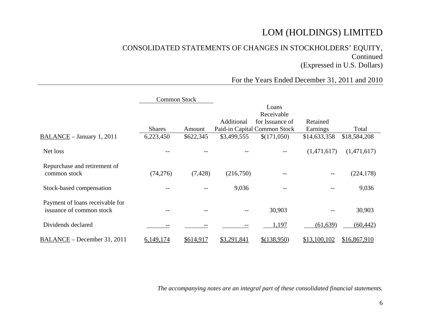## CONSOLIDATED STATEMENTS OF CHANGES IN STOCKHOLDERS' EQUITY, **Continued** (Expressed in U.S. Dollars)

## For the Years Ended December 31, 2011 and 2010

|                                                             | <b>Common Stock</b> |           |             |                                                                        |                      |              |
|-------------------------------------------------------------|---------------------|-----------|-------------|------------------------------------------------------------------------|----------------------|--------------|
|                                                             | <b>Shares</b>       | Amount    | Additional  | Loans<br>Receivable<br>for Issuance of<br>Paid-in Capital Common Stock | Retained<br>Earnings | Total        |
| $BALANCE - January 1, 2011$                                 | 6,223,450           | \$622,345 | \$3,499,555 | \$(171,050)                                                            | \$14,633,358         | \$18,584,208 |
| Net loss                                                    |                     |           |             |                                                                        | (1,471,617)          | (1,471,617)  |
| Repurchase and retirement of<br>common stock                | (74, 276)           | (7, 428)  | (216,750)   |                                                                        | --                   | (224, 178)   |
| Stock-based compensation                                    |                     | --        | 9,036       |                                                                        | $\qquad \qquad -$    | 9,036        |
| Payment of loans receivable for<br>issuance of common stock |                     | --        | --          | 30,903                                                                 |                      | 30,903       |
| Dividends declared                                          |                     |           |             | 1,197                                                                  | (61, 639)            | (60, 442)    |
| BALANCE – December 31, 2011                                 | 6,149,174           | \$614,917 | \$3,291,841 | \$(138,950)                                                            | \$13,100,102         | \$16,867,910 |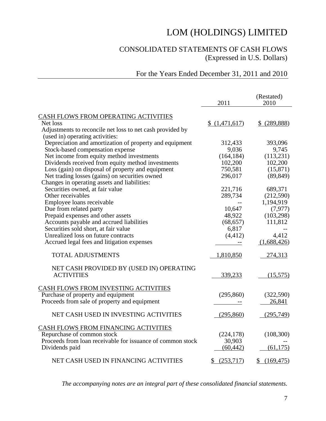# CONSOLIDATED STATEMENTS OF CASH FLOWS (Expressed in U.S. Dollars)

## For the Years Ended December 31, 2011 and 2010

|                                                            | 2011            | (Restated)<br>2010 |
|------------------------------------------------------------|-----------------|--------------------|
|                                                            |                 |                    |
| CASH FLOWS FROM OPERATING ACTIVITIES<br>Net loss           | (1,471,617)     | \$ (289, 888)      |
| Adjustments to reconcile net loss to net cash provided by  |                 |                    |
| (used in) operating activities:                            |                 |                    |
| Depreciation and amortization of property and equipment    | 312,433         | 393,096            |
| Stock-based compensation expense                           | 9,036           | 9,745              |
| Net income from equity method investments                  | (164, 184)      | (113, 231)         |
| Dividends received from equity method investments          | 102,200         | 102,200            |
| Loss (gain) on disposal of property and equipment          | 750,581         | (15, 871)          |
| Net trading losses (gains) on securities owned             | 296,017         | (89, 849)          |
| Changes in operating assets and liabilities:               |                 |                    |
| Securities owned, at fair value                            | 221,716         | 689,371            |
| Other receivables                                          | 289,734         | (212,590)          |
| Employee loans receivable                                  |                 | 1,194,919          |
| Due from related party                                     | 10,647          | (7, 977)           |
| Prepaid expenses and other assets                          | 48,922          | (103, 298)         |
| Accounts payable and accrued liabilities                   | (68, 657)       | 111,812            |
| Securities sold short, at fair value                       | 6,817           |                    |
| Unrealized loss on future contracts                        | (4, 412)        | 4,412              |
| Accrued legal fees and litigation expenses                 |                 | (1,688,426)        |
| <b>TOTAL ADJUSTMENTS</b>                                   | 1,810,850       | 274,313            |
| NET CASH PROVIDED BY (USED IN) OPERATING                   |                 |                    |
| <b>ACTIVITIES</b>                                          | 339,233         | (15,575)           |
|                                                            |                 |                    |
| CASH FLOWS FROM INVESTING ACTIVITIES                       |                 |                    |
| Purchase of property and equipment                         | (295, 860)      | (322,590)          |
| Proceeds from sale of property and equipment               |                 | 26,841             |
| NET CASH USED IN INVESTING ACTIVITIES                      | (295, 860)      | (295,749)          |
| <b>CASH FLOWS FROM FINANCING ACTIVITIES</b>                |                 |                    |
| Repurchase of common stock                                 | (224, 178)      | (108, 300)         |
| Proceeds from loan receivable for issuance of common stock | 30,903          |                    |
| Dividends paid                                             | (60, 442)       | (61, 175)          |
| NET CASH USED IN FINANCING ACTIVITIES                      | (253,717)<br>\$ | \$<br>(169, 475)   |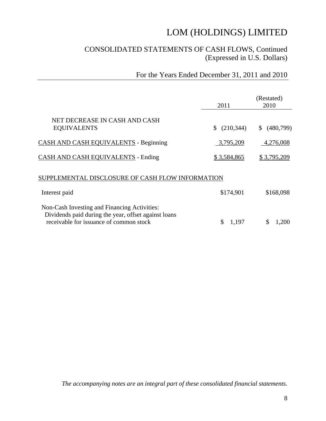# CONSOLIDATED STATEMENTS OF CASH FLOWS, Continued (Expressed in U.S. Dollars)

For the Years Ended December 31, 2011 and 2010

|                                                                                                      | 2011                       | (Restated)<br>2010 |
|------------------------------------------------------------------------------------------------------|----------------------------|--------------------|
| NET DECREASE IN CASH AND CASH<br><b>EQUIVALENTS</b>                                                  | $\mathbb{S}$<br>(210, 344) | (480,799)<br>\$    |
| <b>CASH AND CASH EQUIVALENTS - Beginning</b>                                                         | 3,795,209                  | 4,276,008          |
| CASH AND CASH EQUIVALENTS - Ending                                                                   | \$3,584,865                | \$3,795,209        |
| SUPPLEMENTAL DISCLOSURE OF CASH FLOW INFORMATION                                                     |                            |                    |
| Interest paid                                                                                        | \$174,901                  | \$168,098          |
| Non-Cash Investing and Financing Activities:<br>Dividends paid during the year, offset against loans |                            |                    |
| receivable for issuance of common stock                                                              | \$<br>1,197                | \$<br>1,200        |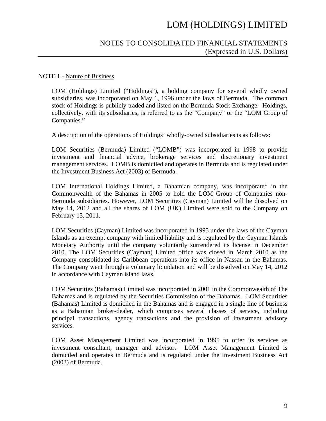## NOTES TO CONSOLIDATED FINANCIAL STATEMENTS (Expressed in U.S. Dollars)

### NOTE 1 - Nature of Business

LOM (Holdings) Limited ("Holdings"), a holding company for several wholly owned subsidiaries, was incorporated on May 1, 1996 under the laws of Bermuda. The common stock of Holdings is publicly traded and listed on the Bermuda Stock Exchange. Holdings, collectively, with its subsidiaries, is referred to as the "Company" or the "LOM Group of Companies."

A description of the operations of Holdings' wholly-owned subsidiaries is as follows:

LOM Securities (Bermuda) Limited ("LOMB") was incorporated in 1998 to provide investment and financial advice, brokerage services and discretionary investment management services. LOMB is domiciled and operates in Bermuda and is regulated under the Investment Business Act (2003) of Bermuda.

LOM International Holdings Limited, a Bahamian company, was incorporated in the Commonwealth of the Bahamas in 2005 to hold the LOM Group of Companies non-Bermuda subsidiaries. However, LOM Securities (Cayman) Limited will be dissolved on May 14, 2012 and all the shares of LOM (UK) Limited were sold to the Company on February 15, 2011.

LOM Securities (Cayman) Limited was incorporated in 1995 under the laws of the Cayman Islands as an exempt company with limited liability and is regulated by the Cayman Islands Monetary Authority until the company voluntarily surrendered its license in December 2010. The LOM Securities (Cayman) Limited office was closed in March 2010 as the Company consolidated its Caribbean operations into its office in Nassau in the Bahamas. The Company went through a voluntary liquidation and will be dissolved on May 14, 2012 in accordance with Cayman island laws.

LOM Securities (Bahamas) Limited was incorporated in 2001 in the Commonwealth of The Bahamas and is regulated by the Securities Commission of the Bahamas. LOM Securities (Bahamas) Limited is domiciled in the Bahamas and is engaged in a single line of business as a Bahamian broker-dealer, which comprises several classes of service, including principal transactions, agency transactions and the provision of investment advisory services.

LOM Asset Management Limited was incorporated in 1995 to offer its services as investment consultant, manager and advisor. LOM Asset Management Limited is domiciled and operates in Bermuda and is regulated under the Investment Business Act (2003) of Bermuda.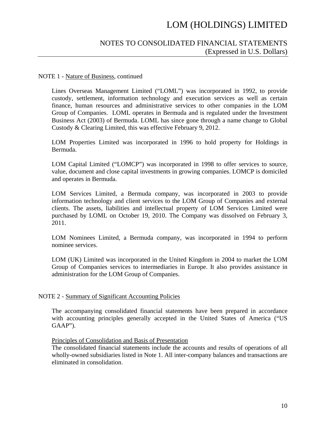## NOTES TO CONSOLIDATED FINANCIAL STATEMENTS (Expressed in U.S. Dollars)

### NOTE 1 - Nature of Business, continued

Lines Overseas Management Limited ("LOML") was incorporated in 1992, to provide custody, settlement, information technology and execution services as well as certain finance, human resources and administrative services to other companies in the LOM Group of Companies. LOML operates in Bermuda and is regulated under the Investment Business Act (2003) of Bermuda. LOML has since gone through a name change to Global Custody & Clearing Limited, this was effective February 9, 2012.

LOM Properties Limited was incorporated in 1996 to hold property for Holdings in Bermuda.

LOM Capital Limited ("LOMCP") was incorporated in 1998 to offer services to source, value, document and close capital investments in growing companies. LOMCP is domiciled and operates in Bermuda.

LOM Services Limited, a Bermuda company, was incorporated in 2003 to provide information technology and client services to the LOM Group of Companies and external clients. The assets, liabilities and intellectual property of LOM Services Limited were purchased by LOML on October 19, 2010. The Company was dissolved on February 3, 2011.

LOM Nominees Limited, a Bermuda company, was incorporated in 1994 to perform nominee services.

LOM (UK) Limited was incorporated in the United Kingdom in 2004 to market the LOM Group of Companies services to intermediaries in Europe. It also provides assistance in administration for the LOM Group of Companies.

#### NOTE 2 - Summary of Significant Accounting Policies

The accompanying consolidated financial statements have been prepared in accordance with accounting principles generally accepted in the United States of America ("US GAAP").

### Principles of Consolidation and Basis of Presentation

The consolidated financial statements include the accounts and results of operations of all wholly-owned subsidiaries listed in Note 1. All inter-company balances and transactions are eliminated in consolidation.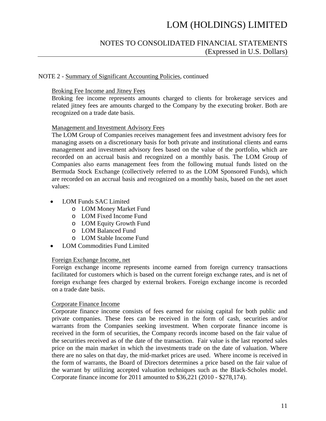## NOTES TO CONSOLIDATED FINANCIAL STATEMENTS (Expressed in U.S. Dollars)

### NOTE 2 - Summary of Significant Accounting Policies, continued

#### Broking Fee Income and Jitney Fees

Broking fee income represents amounts charged to clients for brokerage services and related jitney fees are amounts charged to the Company by the executing broker. Both are recognized on a trade date basis.

#### Management and Investment Advisory Fees

The LOM Group of Companies receives management fees and investment advisory fees for managing assets on a discretionary basis for both private and institutional clients and earns management and investment advisory fees based on the value of the portfolio, which are recorded on an accrual basis and recognized on a monthly basis. The LOM Group of Companies also earns management fees from the following mutual funds listed on the Bermuda Stock Exchange (collectively referred to as the LOM Sponsored Funds), which are recorded on an accrual basis and recognized on a monthly basis, based on the net asset values:

## • LOM Funds SAC Limited

- o LOM Money Market Fund
- o LOM Fixed Income Fund
- o LOM Equity Growth Fund
- o LOM Balanced Fund
- o LOM Stable Income Fund
- LOM Commodities Fund Limited

#### Foreign Exchange Income, net

Foreign exchange income represents income earned from foreign currency transactions facilitated for customers which is based on the current foreign exchange rates, and is net of foreign exchange fees charged by external brokers. Foreign exchange income is recorded on a trade date basis.

### Corporate Finance Income

Corporate finance income consists of fees earned for raising capital for both public and private companies. These fees can be received in the form of cash, securities and/or warrants from the Companies seeking investment. When corporate finance income is received in the form of securities, the Company records income based on the fair value of the securities received as of the date of the transaction. Fair value is the last reported sales price on the main market in which the investments trade on the date of valuation. Where there are no sales on that day, the mid-market prices are used. Where income is received in the form of warrants, the Board of Directors determines a price based on the fair value of the warrant by utilizing accepted valuation techniques such as the Black-Scholes model. Corporate finance income for 2011 amounted to \$36,221 (2010 - \$278,174).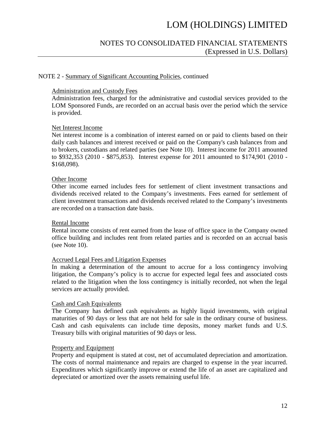## NOTES TO CONSOLIDATED FINANCIAL STATEMENTS (Expressed in U.S. Dollars)

### NOTE 2 - Summary of Significant Accounting Policies, continued

#### Administration and Custody Fees

Administration fees, charged for the administrative and custodial services provided to the LOM Sponsored Funds, are recorded on an accrual basis over the period which the service is provided.

#### Net Interest Income

Net interest income is a combination of interest earned on or paid to clients based on their daily cash balances and interest received or paid on the Company's cash balances from and to brokers, custodians and related parties (see Note 10). Interest income for 2011 amounted to \$932,353 (2010 - \$875,853). Interest expense for 2011 amounted to \$174,901 (2010 - \$168,098).

#### Other Income

Other income earned includes fees for settlement of client investment transactions and dividends received related to the Company's investments. Fees earned for settlement of client investment transactions and dividends received related to the Company's investments are recorded on a transaction date basis.

#### Rental Income

Rental income consists of rent earned from the lease of office space in the Company owned office building and includes rent from related parties and is recorded on an accrual basis (see Note 10).

#### Accrued Legal Fees and Litigation Expenses

In making a determination of the amount to accrue for a loss contingency involving litigation, the Company's policy is to accrue for expected legal fees and associated costs related to the litigation when the loss contingency is initially recorded, not when the legal services are actually provided.

#### Cash and Cash Equivalents

The Company has defined cash equivalents as highly liquid investments, with original maturities of 90 days or less that are not held for sale in the ordinary course of business. Cash and cash equivalents can include time deposits, money market funds and U.S. Treasury bills with original maturities of 90 days or less.

#### Property and Equipment

Property and equipment is stated at cost, net of accumulated depreciation and amortization. The costs of normal maintenance and repairs are charged to expense in the year incurred. Expenditures which significantly improve or extend the life of an asset are capitalized and depreciated or amortized over the assets remaining useful life.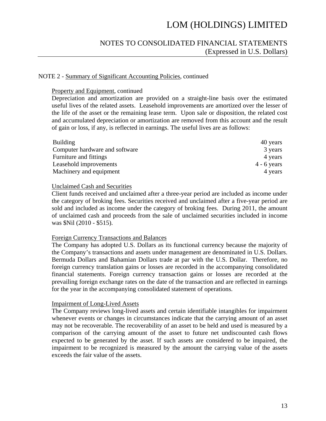## NOTES TO CONSOLIDATED FINANCIAL STATEMENTS (Expressed in U.S. Dollars)

### NOTE 2 - Summary of Significant Accounting Policies, continued

#### Property and Equipment, continued

Depreciation and amortization are provided on a straight-line basis over the estimated useful lives of the related assets. Leasehold improvements are amortized over the lesser of the life of the asset or the remaining lease term. Upon sale or disposition, the related cost and accumulated depreciation or amortization are removed from this account and the result of gain or loss, if any, is reflected in earnings. The useful lives are as follows:

| <b>Building</b>                | 40 years      |
|--------------------------------|---------------|
| Computer hardware and software | 3 years       |
| Furniture and fittings         | 4 years       |
| Leasehold improvements         | $4 - 6$ years |
| Machinery and equipment        | 4 years       |

## Unclaimed Cash and Securities

Client funds received and unclaimed after a three-year period are included as income under the category of broking fees. Securities received and unclaimed after a five-year period are sold and included as income under the category of broking fees. During 2011, the amount of unclaimed cash and proceeds from the sale of unclaimed securities included in income was \$Nil (2010 - \$515).

#### Foreign Currency Transactions and Balances

The Company has adopted U.S. Dollars as its functional currency because the majority of the Company's transactions and assets under management are denominated in U.S. Dollars. Bermuda Dollars and Bahamian Dollars trade at par with the U.S. Dollar. Therefore, no foreign currency translation gains or losses are recorded in the accompanying consolidated financial statements. Foreign currency transaction gains or losses are recorded at the prevailing foreign exchange rates on the date of the transaction and are reflected in earnings for the year in the accompanying consolidated statement of operations.

#### Impairment of Long-Lived Assets

The Company reviews long-lived assets and certain identifiable intangibles for impairment whenever events or changes in circumstances indicate that the carrying amount of an asset may not be recoverable. The recoverability of an asset to be held and used is measured by a comparison of the carrying amount of the asset to future net undiscounted cash flows expected to be generated by the asset. If such assets are considered to be impaired, the impairment to be recognized is measured by the amount the carrying value of the assets exceeds the fair value of the assets.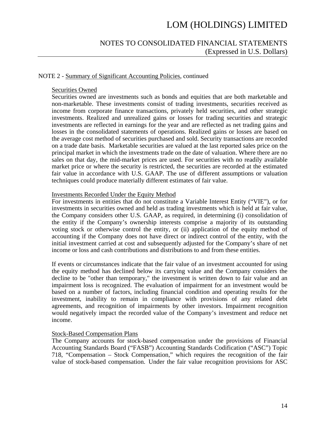## NOTES TO CONSOLIDATED FINANCIAL STATEMENTS (Expressed in U.S. Dollars)

#### NOTE 2 - Summary of Significant Accounting Policies, continued

#### Securities Owned

Securities owned are investments such as bonds and equities that are both marketable and non-marketable. These investments consist of trading investments, securities received as income from corporate finance transactions, privately held securities, and other strategic investments. Realized and unrealized gains or losses for trading securities and strategic investments are reflected in earnings for the year and are reflected as net trading gains and losses in the consolidated statements of operations. Realized gains or losses are based on the average cost method of securities purchased and sold. Security transactions are recorded on a trade date basis. Marketable securities are valued at the last reported sales price on the principal market in which the investments trade on the date of valuation. Where there are no sales on that day, the mid-market prices are used. For securities with no readily available market price or where the security is restricted, the securities are recorded at the estimated fair value in accordance with U.S. GAAP. The use of different assumptions or valuation techniques could produce materially different estimates of fair value.

#### Investments Recorded Under the Equity Method

For investments in entities that do not constitute a Variable Interest Entity ("VIE"), or for investments in securities owned and held as trading investments which is held at fair value, the Company considers other U.S. GAAP, as required, in determining (i) consolidation of the entity if the Company's ownership interests comprise a majority of its outstanding voting stock or otherwise control the entity, or (ii) application of the equity method of accounting if the Company does not have direct or indirect control of the entity, with the initial investment carried at cost and subsequently adjusted for the Company's share of net income or loss and cash contributions and distributions to and from these entities.

If events or circumstances indicate that the fair value of an investment accounted for using the equity method has declined below its carrying value and the Company considers the decline to be "other than temporary," the investment is written down to fair value and an impairment loss is recognized. The evaluation of impairment for an investment would be based on a number of factors, including financial condition and operating results for the investment, inability to remain in compliance with provisions of any related debt agreements, and recognition of impairments by other investors. Impairment recognition would negatively impact the recorded value of the Company's investment and reduce net income.

#### Stock-Based Compensation Plans

The Company accounts for stock-based compensation under the provisions of Financial Accounting Standards Board ("FASB") Accounting Standards Codification ("ASC") Topic 718, "Compensation – Stock Compensation," which requires the recognition of the fair value of stock-based compensation. Under the fair value recognition provisions for ASC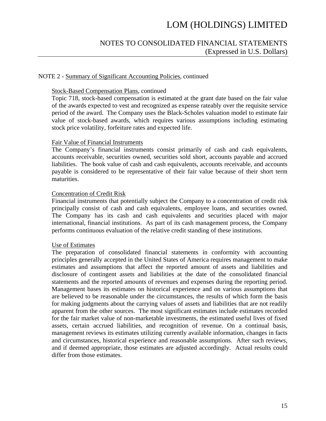## NOTES TO CONSOLIDATED FINANCIAL STATEMENTS (Expressed in U.S. Dollars)

### NOTE 2 - Summary of Significant Accounting Policies, continued

#### Stock-Based Compensation Plans, continued

Topic 718, stock-based compensation is estimated at the grant date based on the fair value of the awards expected to vest and recognized as expense rateably over the requisite service period of the award. The Company uses the Black-Scholes valuation model to estimate fair value of stock-based awards, which requires various assumptions including estimating stock price volatility, forfeiture rates and expected life.

#### Fair Value of Financial Instruments

The Company's financial instruments consist primarily of cash and cash equivalents, accounts receivable, securities owned, securities sold short, accounts payable and accrued liabilities. The book value of cash and cash equivalents, accounts receivable, and accounts payable is considered to be representative of their fair value because of their short term maturities.

#### Concentration of Credit Risk

Financial instruments that potentially subject the Company to a concentration of credit risk principally consist of cash and cash equivalents, employee loans, and securities owned. The Company has its cash and cash equivalents and securities placed with major international, financial institutions. As part of its cash management process, the Company performs continuous evaluation of the relative credit standing of these institutions.

### Use of Estimates

The preparation of consolidated financial statements in conformity with accounting principles generally accepted in the United States of America requires management to make estimates and assumptions that affect the reported amount of assets and liabilities and disclosure of contingent assets and liabilities at the date of the consolidated financial statements and the reported amounts of revenues and expenses during the reporting period. Management bases its estimates on historical experience and on various assumptions that are believed to be reasonable under the circumstances, the results of which form the basis for making judgments about the carrying values of assets and liabilities that are not readily apparent from the other sources. The most significant estimates include estimates recorded for the fair market value of non-marketable investments, the estimated useful lives of fixed assets, certain accrued liabilities, and recognition of revenue. On a continual basis, management reviews its estimates utilizing currently available information, changes in facts and circumstances, historical experience and reasonable assumptions. After such reviews, and if deemed appropriate, those estimates are adjusted accordingly. Actual results could differ from those estimates.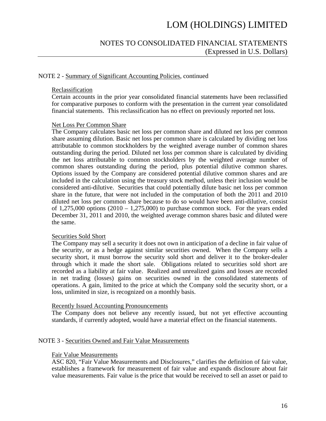## NOTES TO CONSOLIDATED FINANCIAL STATEMENTS (Expressed in U.S. Dollars)

#### NOTE 2 - Summary of Significant Accounting Policies, continued

#### Reclassification

Certain accounts in the prior year consolidated financial statements have been reclassified for comparative purposes to conform with the presentation in the current year consolidated financial statements. This reclassification has no effect on previously reported net loss.

#### Net Loss Per Common Share

The Company calculates basic net loss per common share and diluted net loss per common share assuming dilution. Basic net loss per common share is calculated by dividing net loss attributable to common stockholders by the weighted average number of common shares outstanding during the period. Diluted net loss per common share is calculated by dividing the net loss attributable to common stockholders by the weighted average number of common shares outstanding during the period, plus potential dilutive common shares. Options issued by the Company are considered potential dilutive common shares and are included in the calculation using the treasury stock method, unless their inclusion would be considered anti-dilutive. Securities that could potentially dilute basic net loss per common share in the future, that were not included in the computation of both the 2011 and 2010 diluted net loss per common share because to do so would have been anti-dilutive, consist of  $1,275,000$  options  $(2010 - 1,275,000)$  to purchase common stock. For the years ended December 31, 2011 and 2010, the weighted average common shares basic and diluted were the same.

#### Securities Sold Short

The Company may sell a security it does not own in anticipation of a decline in fair value of the security, or as a hedge against similar securities owned. When the Company sells a security short, it must borrow the security sold short and deliver it to the broker-dealer through which it made the short sale. Obligations related to securities sold short are recorded as a liability at fair value. Realized and unrealized gains and losses are recorded in net trading (losses) gains on securities owned in the consolidated statements of operations. A gain, limited to the price at which the Company sold the security short, or a loss, unlimited in size, is recognized on a monthly basis.

#### Recently Issued Accounting Pronouncements

The Company does not believe any recently issued, but not yet effective accounting standards, if currently adopted, would have a material effect on the financial statements.

### NOTE 3 - Securities Owned and Fair Value Measurements

#### Fair Value Measurements

ASC 820, "Fair Value Measurements and Disclosures," clarifies the definition of fair value, establishes a framework for measurement of fair value and expands disclosure about fair value measurements. Fair value is the price that would be received to sell an asset or paid to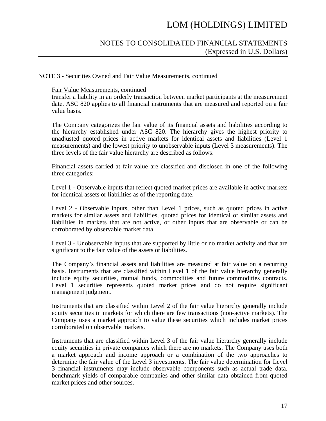## NOTES TO CONSOLIDATED FINANCIAL STATEMENTS (Expressed in U.S. Dollars)

### NOTE 3 - Securities Owned and Fair Value Measurements, continued

#### Fair Value Measurements, continued

transfer a liability in an orderly transaction between market participants at the measurement date. ASC 820 applies to all financial instruments that are measured and reported on a fair value basis.

The Company categorizes the fair value of its financial assets and liabilities according to the hierarchy established under ASC 820. The hierarchy gives the highest priority to unadjusted quoted prices in active markets for identical assets and liabilities (Level 1 measurements) and the lowest priority to unobservable inputs (Level 3 measurements). The three levels of the fair value hierarchy are described as follows:

Financial assets carried at fair value are classified and disclosed in one of the following three categories:

Level 1 - Observable inputs that reflect quoted market prices are available in active markets for identical assets or liabilities as of the reporting date.

Level 2 - Observable inputs, other than Level 1 prices, such as quoted prices in active markets for similar assets and liabilities, quoted prices for identical or similar assets and liabilities in markets that are not active, or other inputs that are observable or can be corroborated by observable market data.

Level 3 - Unobservable inputs that are supported by little or no market activity and that are significant to the fair value of the assets or liabilities.

The Company's financial assets and liabilities are measured at fair value on a recurring basis. Instruments that are classified within Level 1 of the fair value hierarchy generally include equity securities, mutual funds, commodities and future commodities contracts. Level 1 securities represents quoted market prices and do not require significant management judgment.

Instruments that are classified within Level 2 of the fair value hierarchy generally include equity securities in markets for which there are few transactions (non-active markets). The Company uses a market approach to value these securities which includes market prices corroborated on observable markets.

Instruments that are classified within Level 3 of the fair value hierarchy generally include equity securities in private companies which there are no markets. The Company uses both a market approach and income approach or a combination of the two approaches to determine the fair value of the Level 3 investments. The fair value determination for Level 3 financial instruments may include observable components such as actual trade data, benchmark yields of comparable companies and other similar data obtained from quoted market prices and other sources.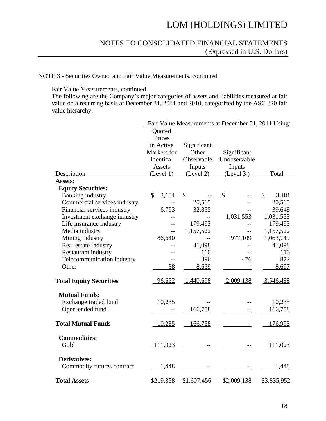## NOTES TO CONSOLIDATED FINANCIAL STATEMENTS (Expressed in U.S. Dollars)

## NOTE 3 - Securities Owned and Fair Value Measurements, continued

### Fair Value Measurements, continued

The following are the Company's major categories of assets and liabilities measured at fair value on a recurring basis at December 31, 2011 and 2010, categorized by the ASC 820 fair value hierarchy:

|                                |                             |             | Fair Value Measurements at December 31, 2011 Using: |                        |
|--------------------------------|-----------------------------|-------------|-----------------------------------------------------|------------------------|
|                                | Quoted                      |             |                                                     |                        |
|                                | Prices                      |             |                                                     |                        |
|                                | in Active                   | Significant |                                                     |                        |
|                                | Markets for                 | Other       | Significant                                         |                        |
|                                | Identical                   | Observable  | Unobservable                                        |                        |
|                                | Assets                      | Inputs      | Inputs                                              |                        |
| Description                    | (Level 1)                   | (Level 2)   | (Level 3)                                           | Total                  |
| <b>Assets:</b>                 |                             |             |                                                     |                        |
| <b>Equity Securities:</b>      |                             |             |                                                     |                        |
| <b>Banking industry</b>        | $\mathbf{\hat{S}}$<br>3,181 | \$          | \$                                                  | $\mathcal{S}$<br>3,181 |
| Commercial services industry   |                             | 20,565      |                                                     | 20,565                 |
| Financial services industry    | 6,793                       | 32,855      |                                                     | 39,648                 |
| Investment exchange industry   | $-$                         |             | 1,031,553                                           | 1,031,553              |
| Life insurance industry        |                             | 179,493     |                                                     | 179,493                |
| Media industry                 | $-$                         | 1,157,522   | $-$                                                 | 1,157,522              |
| Mining industry                | 86,640                      |             | 977,109                                             | 1,063,749              |
| Real estate industry           | $-$                         | 41,098      |                                                     | 41,098                 |
| <b>Restaurant industry</b>     | $-$                         | 110         | $- -$                                               | 110                    |
| Telecommunication industry     | --                          | 396         | 476                                                 | 872                    |
| Other                          | 38                          | 8,659       |                                                     | 8,697                  |
|                                |                             |             |                                                     |                        |
| <b>Total Equity Securities</b> | 96,652                      | 1,440,698   | 2,009,138                                           | 3,546,488              |
|                                |                             |             |                                                     |                        |
| <b>Mutual Funds:</b>           |                             |             |                                                     |                        |
| Exchange traded fund           | 10,235                      |             |                                                     | 10,235                 |
| Open-ended fund                |                             | 166,758     |                                                     | 166,758                |
| <b>Total Mutual Funds</b>      | 10,235                      | 166,758     |                                                     | 176,993                |
| <b>Commodities:</b>            |                             |             |                                                     |                        |
| Gold                           | 111,023                     |             |                                                     | 111,023                |
|                                |                             |             |                                                     |                        |
| <b>Derivatives:</b>            |                             |             |                                                     |                        |
| Commodity futures contract     | 1,448                       |             |                                                     | 1,448                  |
| <b>Total Assets</b>            | \$219,358                   | \$1,607,456 | \$2,009,138                                         | \$3,835,952            |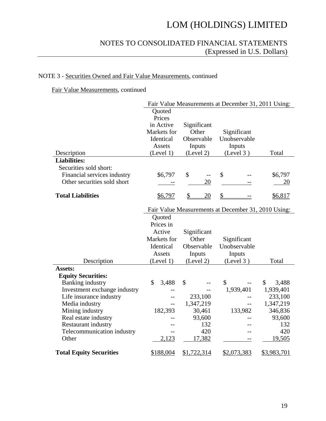## NOTES TO CONSOLIDATED FINANCIAL STATEMENTS (Expressed in U.S. Dollars)

## NOTE 3 - Securities Owned and Fair Value Measurements, continued

## Fair Value Measurements, continued

|                              |             |             | Fair Value Measurements at December 31, 2011 Using: |             |
|------------------------------|-------------|-------------|-----------------------------------------------------|-------------|
|                              | Quoted      |             |                                                     |             |
|                              | Prices      |             |                                                     |             |
|                              | in Active   | Significant |                                                     |             |
|                              | Markets for | Other       | Significant                                         |             |
|                              | Identical   | Observable  | Unobservable                                        |             |
|                              | Assets      | Inputs      | Inputs                                              |             |
| Description                  | (Level 1)   | (Level 2)   | (Level 3)                                           | Total       |
| <b>Liabilities:</b>          |             |             |                                                     |             |
| Securities sold short:       |             |             |                                                     |             |
| Financial services industry  | \$6,797     | \$          | \$                                                  | \$6,797     |
| Other securities sold short  |             | 20          |                                                     | 20          |
|                              |             |             |                                                     |             |
| <b>Total Liabilities</b>     | \$6,797     | \$<br>20    | $\overline{\mathbb{S}}$                             | \$6,817     |
|                              |             |             |                                                     |             |
|                              |             |             | Fair Value Measurements at December 31, 2010 Using: |             |
|                              | Quoted      |             |                                                     |             |
|                              | Prices in   |             |                                                     |             |
|                              |             |             |                                                     |             |
|                              | Active      | Significant |                                                     |             |
|                              | Markets for | Other       | Significant                                         |             |
|                              | Identical   | Observable  | Unobservable                                        |             |
|                              | Assets      | Inputs      | Inputs                                              |             |
| Description                  | (Level 1)   | (Level 2)   | (Level 3)                                           | Total       |
| <b>Assets:</b>               |             |             |                                                     |             |
| <b>Equity Securities:</b>    |             |             |                                                     |             |
| <b>Banking industry</b>      | \$<br>3,488 | \$          | \$                                                  | \$<br>3,488 |
| Investment exchange industry |             |             | 1,939,401                                           | 1,939,401   |
| Life insurance industry      | --          | 233,100     |                                                     | 233,100     |
| Media industry               | $-$         | 1,347,219   | $-$                                                 | 1,347,219   |
| Mining industry              | 182,393     | 30,461      | 133,982                                             | 346,836     |
| Real estate industry         |             | 93,600      |                                                     | 93,600      |
| Restaurant industry          |             | 132         |                                                     | 132         |
| Telecommunication industry   | $-$         | 420         |                                                     | 420         |
| Other                        | 2,123       | 17,382      |                                                     | 19,505      |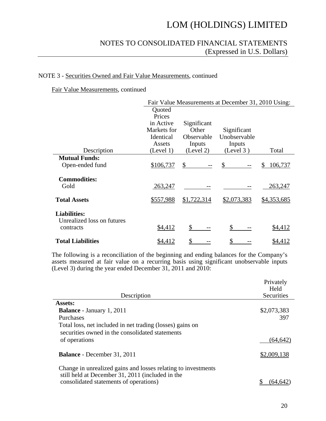## NOTES TO CONSOLIDATED FINANCIAL STATEMENTS (Expressed in U.S. Dollars)

### NOTE 3 - Securities Owned and Fair Value Measurements, continued

### Fair Value Measurements, continued

|                            | Fair Value Measurements at December 31, 2010 Using: |             |              |              |  |
|----------------------------|-----------------------------------------------------|-------------|--------------|--------------|--|
|                            | Quoted                                              |             |              |              |  |
|                            | Prices                                              |             |              |              |  |
|                            | in Active                                           | Significant |              |              |  |
|                            | Markets for                                         | Other       | Significant  |              |  |
|                            | Identical                                           | Observable  | Unobservable |              |  |
|                            | Assets                                              | Inputs      | Inputs       |              |  |
| Description                | (Level 1)                                           | (Level 2)   | (Level 3)    | Total        |  |
| <b>Mutual Funds:</b>       |                                                     |             |              |              |  |
| Open-ended fund            | \$106,737                                           | \$          | \$           | 106,737<br>S |  |
| <b>Commodities:</b>        |                                                     |             |              |              |  |
|                            |                                                     |             |              |              |  |
| Gold                       | 263,247                                             |             |              | 263,247      |  |
| <b>Total Assets</b>        | \$557,988                                           | \$1,722,314 | \$2,073,383  | \$4,353,685  |  |
| <b>Liabilities:</b>        |                                                     |             |              |              |  |
| Unrealized loss on futures |                                                     |             |              |              |  |
| contracts                  | \$4,412                                             | \$          | \$           | \$4,412      |  |
|                            |                                                     |             |              |              |  |
| <b>Total Liabilities</b>   | \$4,412                                             |             |              | \$4,412      |  |

The following is a reconciliation of the beginning and ending balances for the Company's assets measured at fair value on a recurring basis using significant unobservable inputs (Level 3) during the year ended December 31, 2011 and 2010:

|                                                                                                              | Privately<br>Held |
|--------------------------------------------------------------------------------------------------------------|-------------------|
| Description                                                                                                  | Securities        |
| <b>Assets:</b>                                                                                               |                   |
| <b>Balance</b> - January 1, 2011                                                                             | \$2,073,383       |
| Purchases                                                                                                    | 397               |
| Total loss, net included in net trading (losses) gains on<br>securities owned in the consolidated statements |                   |
| of operations                                                                                                | (64, 642)         |
| <b>Balance</b> - December 31, 2011                                                                           | \$2,009,138       |
| Change in unrealized gains and losses relating to investments                                                |                   |
| still held at December 31, 2011 (included in the                                                             |                   |
| consolidated statements of operations)                                                                       | :64,642           |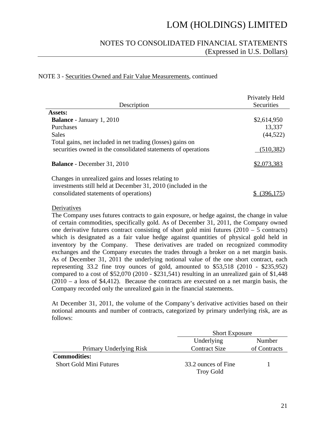## NOTES TO CONSOLIDATED FINANCIAL STATEMENTS (Expressed in U.S. Dollars)

### NOTE 3 - Securities Owned and Fair Value Measurements, continued

|                                                                                                                    | Privately Held |
|--------------------------------------------------------------------------------------------------------------------|----------------|
| Description                                                                                                        | Securities     |
| <b>Assets:</b>                                                                                                     |                |
| <b>Balance</b> - January 1, 2010                                                                                   | \$2,614,950    |
| Purchases                                                                                                          | 13,337         |
| <b>Sales</b>                                                                                                       | (44, 522)      |
| Total gains, net included in net trading (losses) gains on                                                         |                |
| securities owned in the consolidated statements of operations                                                      | (510, 382)     |
| <b>Balance</b> - December 31, 2010                                                                                 | \$2,073,383    |
| Changes in unrealized gains and losses relating to<br>investments still held at December 31, 2010 (included in the |                |
| consolidated statements of operations)                                                                             |                |

### Derivatives

The Company uses futures contracts to gain exposure, or hedge against, the change in value of certain commodities, specifically gold. As of December 31, 2011, the Company owned one derivative futures contract consisting of short gold mini futures  $(2010 - 5$  contracts) which is designated as a fair value hedge against quantities of physical gold held in inventory by the Company. These derivatives are traded on recognized commodity exchanges and the Company executes the trades through a broker on a net margin basis. As of December 31, 2011 the underlying notional value of the one short contract, each representing 33.2 fine troy ounces of gold, amounted to \$53,518 (2010 - \$235,952) compared to a cost of \$52,070 (2010 - \$231,541) resulting in an unrealized gain of \$1,448 (2010 – a loss of \$4,412). Because the contracts are executed on a net margin basis, the Company recorded only the unrealized gain in the financial statements.

At December 31, 2011, the volume of the Company's derivative activities based on their notional amounts and number of contracts, categorized by primary underlying risk, are as follows:

|                                |                                         | <b>Short Exposure</b> |  |
|--------------------------------|-----------------------------------------|-----------------------|--|
|                                | Underlying                              | Number                |  |
| Primary Underlying Risk        | <b>Contract Size</b>                    | of Contracts          |  |
| <b>Commodities:</b>            |                                         |                       |  |
| <b>Short Gold Mini Futures</b> | 33.2 ounces of Fine<br><b>Troy Gold</b> |                       |  |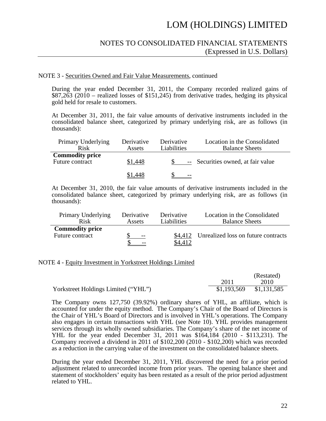## NOTES TO CONSOLIDATED FINANCIAL STATEMENTS (Expressed in U.S. Dollars)

#### NOTE 3 - Securities Owned and Fair Value Measurements, continued

During the year ended December 31, 2011, the Company recorded realized gains of \$87,263 (2010 – realized losses of \$151,245) from derivative trades, hedging its physical gold held for resale to customers.

At December 31, 2011, the fair value amounts of derivative instruments included in the consolidated balance sheet, categorized by primary underlying risk, are as follows (in thousands):

| Primary Underlying<br>Risk                | Derivative<br>Assets | Derivative<br>Liabilities | Location in the Consolidated<br><b>Balance Sheets</b> |
|-------------------------------------------|----------------------|---------------------------|-------------------------------------------------------|
| <b>Commodity price</b><br>Future contract | \$1,448              |                           | -- Securities owned, at fair value                    |
|                                           |                      |                           |                                                       |

At December 31, 2010, the fair value amounts of derivative instruments included in the consolidated balance sheet, categorized by primary underlying risk, are as follows (in thousands):

| Primary Underlying     | Derivative    | Derivative         | Location in the Consolidated                |
|------------------------|---------------|--------------------|---------------------------------------------|
| Risk                   | <b>Assets</b> | <b>Liabilities</b> | <b>Balance Sheets</b>                       |
| <b>Commodity price</b> |               |                    |                                             |
| Future contract        | $- -$         |                    | \$4,412 Unrealized loss on future contracts |
|                        | $- -$         |                    |                                             |

#### NOTE 4 - Equity Investment in Yorkstreet Holdings Limited

|                                     |                           | (Restated) |
|-------------------------------------|---------------------------|------------|
|                                     | 2011                      | 2010       |
| Yorkstreet Holdings Limited ("YHL") | $$1,193,569$ $$1,131,585$ |            |

The Company owns 127,750 (39.92%) ordinary shares of YHL, an affiliate, which is accounted for under the equity method. The Company's Chair of the Board of Directors is the Chair of YHL's Board of Directors and is involved in YHL's operations. The Company also engages in certain transactions with YHL (see Note 10). YHL provides management services through its wholly owned subsidiaries. The Company's share of the net income of YHL for the year ended December 31, 2011 was \$164,184 (2010 - \$113,231). The Company received a dividend in 2011 of \$102,200 (2010 - \$102,200) which was recorded as a reduction in the carrying value of the investment on the consolidated balance sheets.

During the year ended December 31, 2011, YHL discovered the need for a prior period adjustment related to unrecorded income from prior years. The opening balance sheet and statement of stockholders' equity has been restated as a result of the prior period adjustment related to YHL.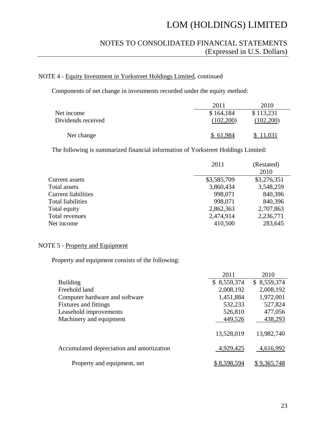## NOTES TO CONSOLIDATED FINANCIAL STATEMENTS (Expressed in U.S. Dollars)

## NOTE 4 - Equity Investment in Yorkstreet Holdings Limited, continued

Components of net change in investments recorded under the equity method:

|                    | 2011       | 2010       |
|--------------------|------------|------------|
| Net income         | \$164,184  | \$113,231  |
| Dividends received | (102, 200) | (102, 200) |
| Net change         | \$ 61.984  | 1,031      |

The following is summarized financial information of Yorkstreet Holdings Limited:

|                            | 2011        | (Restated)  |
|----------------------------|-------------|-------------|
|                            |             | 2010        |
| Current assets             | \$3,585,709 | \$3,276,351 |
| Total assets               | 3,860,434   | 3,548,259   |
| <b>Current liabilities</b> | 998,071     | 840,396     |
| Total liabilities          | 998,071     | 840,396     |
| Total equity               | 2,862,363   | 2,707,863   |
| Total revenues             | 2,474,914   | 2,236,771   |
| Net income                 | 410,500     | 283,645     |
|                            |             |             |

### NOTE 5 - Property and Equipment

Property and equipment consists of the following:

|                                           | 2011        | 2010        |
|-------------------------------------------|-------------|-------------|
| <b>Building</b>                           | \$8,559,374 | \$8,559,374 |
| Freehold land                             | 2,008,192   | 2,008,192   |
| Computer hardware and software            | 1,451,884   | 1,972,001   |
| <b>Fixtures</b> and fittings              | 532,233     | 527,824     |
| Leasehold improvements                    | 526,810     | 477,056     |
| Machinery and equipment                   | 449,526     | 438,293     |
|                                           | 13,528,019  | 13,982,740  |
| Accumulated depreciation and amortization | 4,929,425   | 4,616,992   |
| Property and equipment, net               | \$8,598,594 | \$9,365,7   |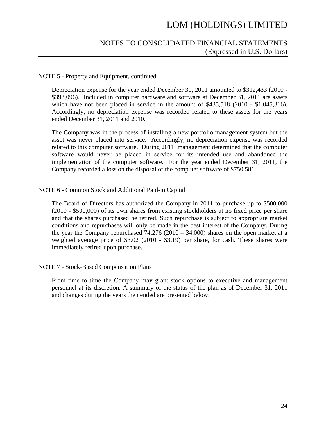## NOTES TO CONSOLIDATED FINANCIAL STATEMENTS (Expressed in U.S. Dollars)

#### NOTE 5 - Property and Equipment, continued

Depreciation expense for the year ended December 31, 2011 amounted to \$312,433 (2010 - \$393,096). Included in computer hardware and software at December 31, 2011 are assets which have not been placed in service in the amount of \$435,518 (2010 - \$1,045,316). Accordingly, no depreciation expense was recorded related to these assets for the years ended December 31, 2011 and 2010.

The Company was in the process of installing a new portfolio management system but the asset was never placed into service. Accordingly, no depreciation expense was recorded related to this computer software. During 2011, management determined that the computer software would never be placed in service for its intended use and abandoned the implementation of the computer software. For the year ended December 31, 2011, the Company recorded a loss on the disposal of the computer software of \$750,581.

#### NOTE 6 - Common Stock and Additional Paid-in Capital

The Board of Directors has authorized the Company in 2011 to purchase up to \$500,000 (2010 - \$500,000) of its own shares from existing stockholders at no fixed price per share and that the shares purchased be retired. Such repurchase is subject to appropriate market conditions and repurchases will only be made in the best interest of the Company. During the year the Company repurchased  $74,276$  (2010 – 34,000) shares on the open market at a weighted average price of \$3.02 (2010 - \$3.19) per share, for cash. These shares were immediately retired upon purchase.

#### NOTE 7 - Stock-Based Compensation Plans

From time to time the Company may grant stock options to executive and management personnel at its discretion. A summary of the status of the plan as of December 31, 2011 and changes during the years then ended are presented below: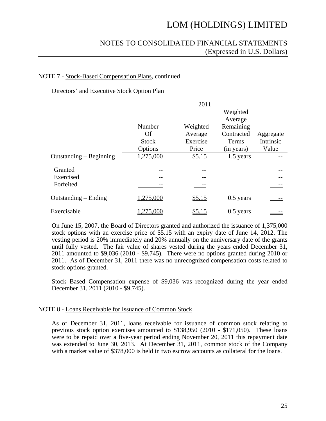## NOTES TO CONSOLIDATED FINANCIAL STATEMENTS (Expressed in U.S. Dollars)

### NOTE 7 - Stock-Based Compensation Plans, continued

#### Directors' and Executive Stock Option Plan

|                           |              | 2011     |             |           |
|---------------------------|--------------|----------|-------------|-----------|
|                           |              |          | Weighted    |           |
|                           |              |          | Average     |           |
|                           | Number       | Weighted | Remaining   |           |
|                           | <b>Of</b>    | Average  | Contracted  | Aggregate |
|                           | <b>Stock</b> | Exercise | Terms       | Intrinsic |
|                           | Options      | Price    | (in years)  | Value     |
| Outstanding $-$ Beginning | 1,275,000    | \$5.15   | 1.5 years   |           |
| Granted                   |              |          |             |           |
| Exercised                 |              |          |             |           |
| Forfeited                 |              |          |             |           |
| Outstanding $-$ Ending    | 1,275,000    | \$5.15   | $0.5$ years |           |
| Exercisable               | ,275,000     | \$5.15   | $0.5$ years |           |

On June 15, 2007, the Board of Directors granted and authorized the issuance of 1,375,000 stock options with an exercise price of \$5.15 with an expiry date of June 14, 2012. The vesting period is 20% immediately and 20% annually on the anniversary date of the grants until fully vested. The fair value of shares vested during the years ended December 31, 2011 amounted to \$9,036 (2010 - \$9,745). There were no options granted during 2010 or 2011. As of December 31, 2011 there was no unrecognized compensation costs related to stock options granted.

Stock Based Compensation expense of \$9,036 was recognized during the year ended December 31, 2011 (2010 - \$9,745).

#### NOTE 8 - Loans Receivable for Issuance of Common Stock

As of December 31, 2011, loans receivable for issuance of common stock relating to previous stock option exercises amounted to \$138,950 (2010 - \$171,050). These loans were to be repaid over a five-year period ending November 20, 2011 this repayment date was extended to June 30, 2013. At December 31, 2011, common stock of the Company with a market value of \$378,000 is held in two escrow accounts as collateral for the loans.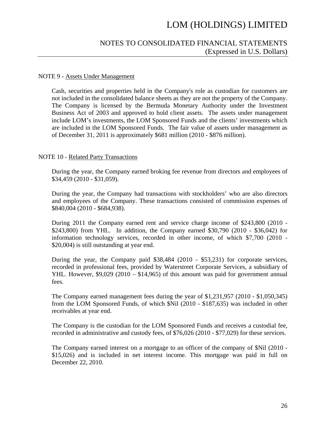## NOTES TO CONSOLIDATED FINANCIAL STATEMENTS (Expressed in U.S. Dollars)

### NOTE 9 - Assets Under Management

Cash, securities and properties held in the Company's role as custodian for customers are not included in the consolidated balance sheets as they are not the property of the Company. The Company is licensed by the Bermuda Monetary Authority under the Investment Business Act of 2003 and approved to hold client assets. The assets under management include LOM's investments, the LOM Sponsored Funds and the clients' investments which are included in the LOM Sponsored Funds. The fair value of assets under management as of December 31, 2011 is approximately \$681 million (2010 - \$876 million).

#### NOTE 10 - Related Party Transactions

During the year, the Company earned broking fee revenue from directors and employees of \$34,459 (2010 - \$31,059).

During the year, the Company had transactions with stockholders' who are also directors and employees of the Company. These transactions consisted of commission expenses of \$840,004 (2010 - \$684,938).

During 2011 the Company earned rent and service charge income of \$243,800 (2010 - \$243,800) from YHL. In addition, the Company earned \$30,790 (2010 - \$36,042) for information technology services, recorded in other income, of which \$7,700 (2010 - \$20,004) is still outstanding at year end.

During the year, the Company paid \$38,484 (2010 - \$53,231) for corporate services, recorded in professional fees, provided by Waterstreet Corporate Services, a subsidiary of YHL. However, \$9,029 (2010 – \$14,965) of this amount was paid for government annual fees.

The Company earned management fees during the year of \$1,231,957 (2010 - \$1,050,345) from the LOM Sponsored Funds, of which \$Nil (2010 - \$187,635) was included in other receivables at year end.

The Company is the custodian for the LOM Sponsored Funds and receives a custodial fee, recorded in administrative and custody fees, of \$76,026 (2010 - \$77,029) for these services.

The Company earned interest on a mortgage to an officer of the company of \$Nil (2010 - \$15,026) and is included in net interest income. This mortgage was paid in full on December 22, 2010.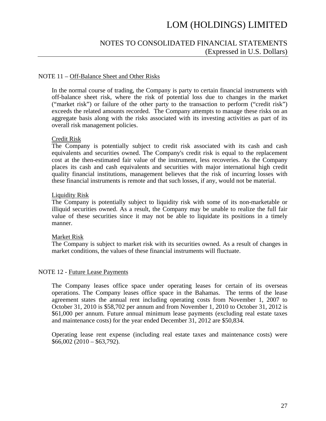## NOTES TO CONSOLIDATED FINANCIAL STATEMENTS (Expressed in U.S. Dollars)

### NOTE 11 – Off-Balance Sheet and Other Risks

In the normal course of trading, the Company is party to certain financial instruments with off-balance sheet risk, where the risk of potential loss due to changes in the market ("market risk") or failure of the other party to the transaction to perform ("credit risk") exceeds the related amounts recorded. The Company attempts to manage these risks on an aggregate basis along with the risks associated with its investing activities as part of its overall risk management policies.

#### Credit Risk

The Company is potentially subject to credit risk associated with its cash and cash equivalents and securities owned. The Company's credit risk is equal to the replacement cost at the then-estimated fair value of the instrument, less recoveries. As the Company places its cash and cash equivalents and securities with major international high credit quality financial institutions, management believes that the risk of incurring losses with these financial instruments is remote and that such losses, if any, would not be material.

#### Liquidity Risk

The Company is potentially subject to liquidity risk with some of its non-marketable or illiquid securities owned. As a result, the Company may be unable to realize the full fair value of these securities since it may not be able to liquidate its positions in a timely manner.

#### Market Risk

The Company is subject to market risk with its securities owned. As a result of changes in market conditions, the values of these financial instruments will fluctuate.

### NOTE 12 - Future Lease Payments

The Company leases office space under operating leases for certain of its overseas operations. The Company leases office space in the Bahamas. The terms of the lease agreement states the annual rent including operating costs from November 1, 2007 to October 31, 2010 is \$58,702 per annum and from November 1, 2010 to October 31, 2012 is \$61,000 per annum. Future annual minimum lease payments (excluding real estate taxes and maintenance costs) for the year ended December 31, 2012 are \$50,834.

Operating lease rent expense (including real estate taxes and maintenance costs) were  $$66,002$  (2010 – \$63,792).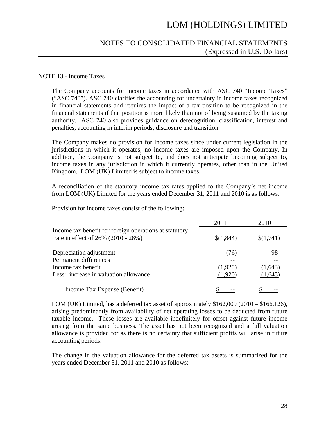## NOTES TO CONSOLIDATED FINANCIAL STATEMENTS (Expressed in U.S. Dollars)

#### NOTE 13 - Income Taxes

The Company accounts for income taxes in accordance with ASC 740 "Income Taxes" ("ASC 740"). ASC 740 clarifies the accounting for uncertainty in income taxes recognized in financial statements and requires the impact of a tax position to be recognized in the financial statements if that position is more likely than not of being sustained by the taxing authority. ASC 740 also provides guidance on derecognition, classification, interest and penalties, accounting in interim periods, disclosure and transition.

The Company makes no provision for income taxes since under current legislation in the jurisdictions in which it operates, no income taxes are imposed upon the Company. In addition, the Company is not subject to, and does not anticipate becoming subject to, income taxes in any jurisdiction in which it currently operates, other than in the United Kingdom. LOM (UK) Limited is subject to income taxes.

A reconciliation of the statutory income tax rates applied to the Company's net income from LOM (UK) Limited for the years ended December 31, 2011 and 2010 is as follows:

Provision for income taxes consist of the following:

|                                                                                              | 2011      | 2010      |
|----------------------------------------------------------------------------------------------|-----------|-----------|
| Income tax benefit for foreign operations at statutory<br>rate in effect of 26% (2010 - 28%) | \$(1,844) | \$(1,741) |
| Depreciation adjustment                                                                      | (76)      | 98        |
| Permanent differences                                                                        |           |           |
| Income tax benefit                                                                           | (1,920)   | (1,643)   |
| Less: increase in valuation allowance                                                        | (1,920)   | (1,643)   |
| Income Tax Expense (Benefit)                                                                 |           |           |

LOM (UK) Limited, has a deferred tax asset of approximately \$162,009 (2010 – \$166,126), arising predominantly from availability of net operating losses to be deducted from future taxable income. These losses are available indefinitely for offset against future income arising from the same business. The asset has not been recognized and a full valuation allowance is provided for as there is no certainty that sufficient profits will arise in future accounting periods.

The change in the valuation allowance for the deferred tax assets is summarized for the years ended December 31, 2011 and 2010 as follows: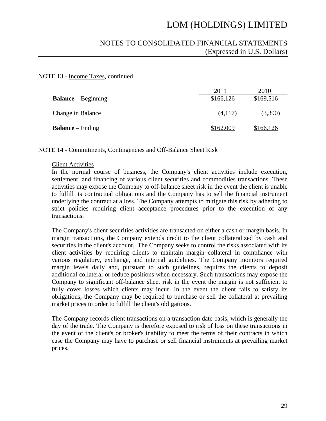## NOTES TO CONSOLIDATED FINANCIAL STATEMENTS (Expressed in U.S. Dollars)

### NOTE 13 - Income Taxes, continued

|                            | 2011      | 2010      |
|----------------------------|-----------|-----------|
| <b>Balance</b> – Beginning | \$166,126 | \$169,516 |
| Change in Balance          | (4,117)   | (3,390)   |
| <b>Balance</b> – Ending    | \$162,009 | \$166,126 |

### NOTE 14 - Commitments, Contingencies and Off-Balance Sheet Risk

### Client Activities

In the normal course of business, the Company's client activities include execution, settlement, and financing of various client securities and commodities transactions. These activities may expose the Company to off-balance sheet risk in the event the client is unable to fulfill its contractual obligations and the Company has to sell the financial instrument underlying the contract at a loss. The Company attempts to mitigate this risk by adhering to strict policies requiring client acceptance procedures prior to the execution of any transactions.

The Company's client securities activities are transacted on either a cash or margin basis. In margin transactions, the Company extends credit to the client collateralized by cash and securities in the client's account. The Company seeks to control the risks associated with its client activities by requiring clients to maintain margin collateral in compliance with various regulatory, exchange, and internal guidelines. The Company monitors required margin levels daily and, pursuant to such guidelines, requires the clients to deposit additional collateral or reduce positions when necessary. Such transactions may expose the Company to significant off-balance sheet risk in the event the margin is not sufficient to fully cover losses which clients may incur. In the event the client fails to satisfy its obligations, the Company may be required to purchase or sell the collateral at prevailing market prices in order to fulfill the client's obligations.

The Company records client transactions on a transaction date basis, which is generally the day of the trade. The Company is therefore exposed to risk of loss on these transactions in the event of the client's or broker's inability to meet the terms of their contracts in which case the Company may have to purchase or sell financial instruments at prevailing market prices.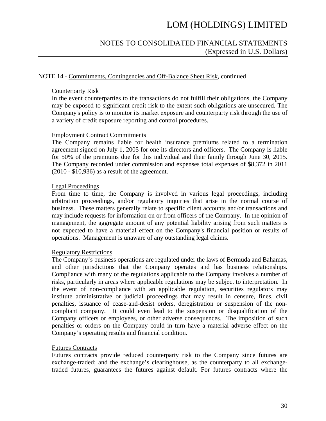## NOTES TO CONSOLIDATED FINANCIAL STATEMENTS (Expressed in U.S. Dollars)

### NOTE 14 - Commitments, Contingencies and Off-Balance Sheet Risk, continued

### Counterparty Risk

In the event counterparties to the transactions do not fulfill their obligations, the Company may be exposed to significant credit risk to the extent such obligations are unsecured. The Company's policy is to monitor its market exposure and counterparty risk through the use of a variety of credit exposure reporting and control procedures.

### Employment Contract Commitments

The Company remains liable for health insurance premiums related to a termination agreement signed on July 1, 2005 for one its directors and officers. The Company is liable for 50% of the premiums due for this individual and their family through June 30, 2015. The Company recorded under commission and expenses total expenses of \$8,372 in 2011 (2010 - \$10,936) as a result of the agreement.

### Legal Proceedings

From time to time, the Company is involved in various legal proceedings, including arbitration proceedings, and/or regulatory inquiries that arise in the normal course of business. These matters generally relate to specific client accounts and/or transactions and may include requests for information on or from officers of the Company. In the opinion of management, the aggregate amount of any potential liability arising from such matters is not expected to have a material effect on the Company's financial position or results of operations. Management is unaware of any outstanding legal claims.

### Regulatory Restrictions

The Company's business operations are regulated under the laws of Bermuda and Bahamas, and other jurisdictions that the Company operates and has business relationships. Compliance with many of the regulations applicable to the Company involves a number of risks, particularly in areas where applicable regulations may be subject to interpretation. In the event of non-compliance with an applicable regulation, securities regulators may institute administrative or judicial proceedings that may result in censure, fines, civil penalties, issuance of cease-and-desist orders, deregistration or suspension of the noncompliant company. It could even lead to the suspension or disqualification of the Company officers or employees, or other adverse consequences. The imposition of such penalties or orders on the Company could in turn have a material adverse effect on the Company's operating results and financial condition.

### Futures Contracts

Futures contracts provide reduced counterparty risk to the Company since futures are exchange-traded; and the exchange's clearinghouse, as the counterparty to all exchangetraded futures, guarantees the futures against default. For futures contracts where the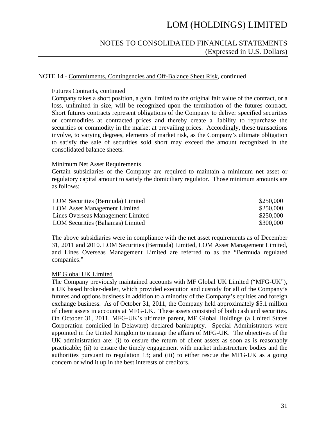## NOTES TO CONSOLIDATED FINANCIAL STATEMENTS (Expressed in U.S. Dollars)

### NOTE 14 - Commitments, Contingencies and Off-Balance Sheet Risk, continued

### Futures Contracts, continued

Company takes a short position, a gain, limited to the original fair value of the contract, or a loss, unlimited in size, will be recognized upon the termination of the futures contract. Short futures contracts represent obligations of the Company to deliver specified securities or commodities at contracted prices and thereby create a liability to repurchase the securities or commodity in the market at prevailing prices. Accordingly, these transactions involve, to varying degrees, elements of market risk, as the Company's ultimate obligation to satisfy the sale of securities sold short may exceed the amount recognized in the consolidated balance sheets.

### Minimum Net Asset Requirements

Certain subsidiaries of the Company are required to maintain a minimum net asset or regulatory capital amount to satisfy the domiciliary regulator. Those minimum amounts are as follows:

| LOM Securities (Bermuda) Limited    | \$250,000 |
|-------------------------------------|-----------|
| <b>LOM Asset Management Limited</b> | \$250,000 |
| Lines Overseas Management Limited   | \$250,000 |
| LOM Securities (Bahamas) Limited    | \$300,000 |

The above subsidiaries were in compliance with the net asset requirements as of December 31, 2011 and 2010. LOM Securities (Bermuda) Limited, LOM Asset Management Limited, and Lines Overseas Management Limited are referred to as the "Bermuda regulated companies."

### MF Global UK Limited

The Company previously maintained accounts with MF Global UK Limited ("MFG-UK"), a UK based broker-dealer, which provided execution and custody for all of the Company's futures and options business in addition to a minority of the Company's equities and foreign exchange business. As of October 31, 2011, the Company held approximately \$5.1 million of client assets in accounts at MFG-UK. These assets consisted of both cash and securities. On October 31, 2011, MFG-UK's ultimate parent, MF Global Holdings (a United States Corporation domiciled in Delaware) declared bankruptcy. Special Administrators were appointed in the United Kingdom to manage the affairs of MFG-UK. The objectives of the UK administration are: (i) to ensure the return of client assets as soon as is reasonably practicable; (ii) to ensure the timely engagement with market infrastructure bodies and the authorities pursuant to regulation 13; and (iii) to either rescue the MFG-UK as a going concern or wind it up in the best interests of creditors.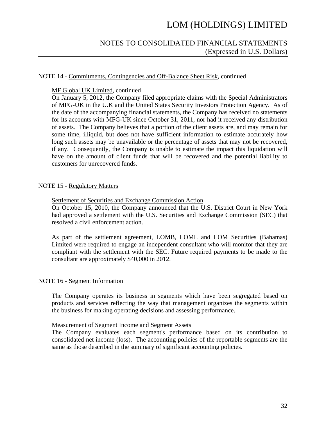## NOTES TO CONSOLIDATED FINANCIAL STATEMENTS (Expressed in U.S. Dollars)

### NOTE 14 - Commitments, Contingencies and Off-Balance Sheet Risk, continued

### MF Global UK Limited, continued

On January 5, 2012, the Company filed appropriate claims with the Special Administrators of MFG-UK in the U.K and the United States Security Investors Protection Agency. As of the date of the accompanying financial statements, the Company has received no statements for its accounts with MFG-UK since October 31, 2011, nor had it received any distribution of assets. The Company believes that a portion of the client assets are, and may remain for some time, illiquid, but does not have sufficient information to estimate accurately how long such assets may be unavailable or the percentage of assets that may not be recovered, if any. Consequently, the Company is unable to estimate the impact this liquidation will have on the amount of client funds that will be recovered and the potential liability to customers for unrecovered funds.

### NOTE 15 - Regulatory Matters

### Settlement of Securities and Exchange Commission Action

On October 15, 2010, the Company announced that the U.S. District Court in New York had approved a settlement with the U.S. Securities and Exchange Commission (SEC) that resolved a civil enforcement action.

As part of the settlement agreement, LOMB, LOML and LOM Securities (Bahamas) Limited were required to engage an independent consultant who will monitor that they are compliant with the settlement with the SEC. Future required payments to be made to the consultant are approximately \$40,000 in 2012.

### NOTE 16 - Segment Information

The Company operates its business in segments which have been segregated based on products and services reflecting the way that management organizes the segments within the business for making operating decisions and assessing performance.

## Measurement of Segment Income and Segment Assets

The Company evaluates each segment's performance based on its contribution to consolidated net income (loss). The accounting policies of the reportable segments are the same as those described in the summary of significant accounting policies.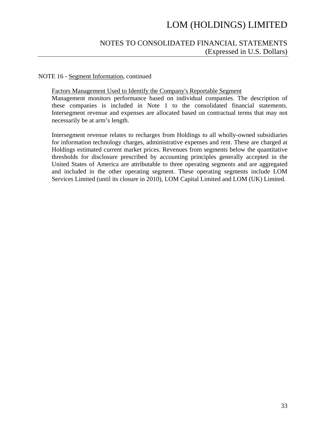## NOTES TO CONSOLIDATED FINANCIAL STATEMENTS (Expressed in U.S. Dollars)

### NOTE 16 - Segment Information, continued

Factors Management Used to Identify the Company's Reportable Segment

Management monitors performance based on individual companies. The description of these companies is included in Note 1 to the consolidated financial statements. Intersegment revenue and expenses are allocated based on contractual terms that may not necessarily be at arm's length.

Intersegment revenue relates to recharges from Holdings to all wholly-owned subsidiaries for information technology charges, administrative expenses and rent. These are charged at Holdings estimated current market prices. Revenues from segments below the quantitative thresholds for disclosure prescribed by accounting principles generally accepted in the United States of America are attributable to three operating segments and are aggregated and included in the other operating segment. These operating segments include LOM Services Limited (until its closure in 2010), LOM Capital Limited and LOM (UK) Limited.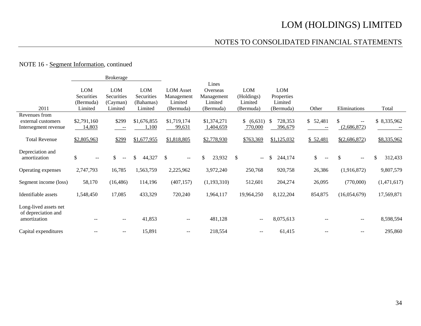## NOTES TO CONSOLIDATED FINANCIAL STATEMENTS

# NOTE 16 - Segment Information, continued

|                       | <b>Brokerage</b> |                                |               |                      |              |                          |                |                          |                     |               |
|-----------------------|------------------|--------------------------------|---------------|----------------------|--------------|--------------------------|----------------|--------------------------|---------------------|---------------|
|                       |                  |                                |               |                      | Lines        |                          |                |                          |                     |               |
|                       | LOM              | <b>LOM</b>                     | <b>LOM</b>    | <b>LOM</b> Asset     | Overseas     | LOM                      | <b>LOM</b>     |                          |                     |               |
|                       | Securities       | Securities                     | Securities    | Management           | Management   | (Holdings)               | Properties     |                          |                     |               |
|                       | (Bermuda)        | (Cayman)                       | (Bahamas)     | Limited              | Limited      | Limited                  | Limited        |                          |                     |               |
| 2011                  | Limited          | Limited                        | Limited       | (Bermuda)            | (Bermuda)    | (Bermuda)                | (Bermuda)      | Other                    | Eliminations        | Total         |
| Revenues from         |                  |                                |               |                      |              |                          |                |                          |                     |               |
| external customers    | \$2,791,160      | \$299                          | \$1,676,855   | \$1,719,174          | \$1,374,271  | (6,631)                  | 728,353<br>-\$ | \$52,481                 | \$<br>$\mathbf{u}$  | \$8,335,962   |
| Intersegment revenue  | 14,803           | $-$                            | 1,100         | 99,631               | 1,404,659    | 770,000                  | 396,679        | $\overline{\phantom{m}}$ | (2,686,872)         |               |
|                       |                  |                                |               |                      |              |                          |                |                          |                     |               |
| <b>Total Revenue</b>  | \$2,805,963      | \$299                          | \$1,677,955   | \$1,818,805          | \$2,778,930  | \$763,369                | \$1,125,032    | \$52,481                 | \$(2,686,872)       | \$8,335,962   |
|                       |                  |                                |               |                      |              |                          |                |                          |                     |               |
| Depreciation and      |                  |                                |               |                      |              |                          |                |                          |                     |               |
| amortization          | \$<br>$-$        | \$<br>$\overline{\phantom{a}}$ | 44,327<br>\$. | -\$<br>$\sim$ $\sim$ | \$<br>23,932 | \$<br>$\mathbf{u}$       | 244,174<br>\$. | \$<br>$\mathbf{u}$       | \$<br>$\sim$ $\sim$ | \$<br>312,433 |
|                       |                  |                                |               |                      |              |                          |                |                          |                     |               |
| Operating expenses    | 2,747,793        | 16,785                         | 1,563,759     | 2,225,962            | 3,972,240    | 250,768                  | 920,758        | 26,386                   | (1,916,872)         | 9,807,579     |
| Segment income (loss) | 58,170           | (16, 486)                      | 114,196       | (407, 157)           | (1,193,310)  | 512,601                  | 204,274        | 26,095                   | (770,000)           | (1,471,617)   |
|                       |                  |                                |               |                      |              |                          |                |                          |                     |               |
| Identifiable assets   | 1,548,450        | 17,085                         | 433,329       | 720,240              | 1,964,117    | 19,964,250               | 8,122,204      | 854,875                  | (16,054,679)        | 17,569,871    |
|                       |                  |                                |               |                      |              |                          |                |                          |                     |               |
| Long-lived assets net |                  |                                |               |                      |              |                          |                |                          |                     |               |
| of depreciation and   |                  |                                |               |                      |              |                          |                |                          |                     |               |
| amortization          | $- -$            | $\overline{\phantom{m}}$       | 41,853        | $\sim$ $\sim$        | 481,128      | $--$                     | 8,075,613      |                          | $\sim$ $\sim$       | 8,598,594     |
|                       |                  |                                |               |                      |              |                          |                |                          |                     |               |
| Capital expenditures  |                  | $\overline{\phantom{m}}$       | 15,891        | $\qquad \qquad -$    | 218,554      | $\overline{\phantom{m}}$ | 61,415         | $-$                      | $-$                 | 295,860       |
|                       |                  |                                |               |                      |              |                          |                |                          |                     |               |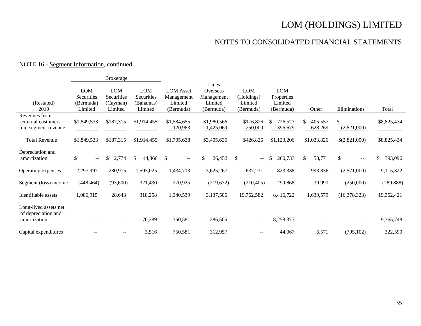## NOTES TO CONSOLIDATED FINANCIAL STATEMENTS

# NOTE 16 - Segment Information, continued

|                       | <b>Brokerage</b>               |             |                        |                  |              |                               |               |                        |                                |               |
|-----------------------|--------------------------------|-------------|------------------------|------------------|--------------|-------------------------------|---------------|------------------------|--------------------------------|---------------|
|                       |                                |             |                        |                  | Lines        |                               |               |                        |                                |               |
|                       | LOM                            | <b>LOM</b>  | <b>LOM</b>             | <b>LOM</b> Asset | Overseas     | <b>LOM</b>                    | LOM           |                        |                                |               |
|                       | Securities                     | Securities  | Securities             | Management       | Management   | (Holdings)                    | Properties    |                        |                                |               |
| (Restated)            | (Bermuda)                      | (Cayman)    | (Bahamas)              | Limited          | Limited      | Limited                       | Limited       |                        |                                |               |
| 2010                  | Limited                        | Limited     | Limited                | (Bermuda)        | (Bermuda)    | (Bermuda)                     | (Bermuda)     | Other                  | Eliminations                   | Total         |
| Revenues from         |                                |             |                        |                  |              |                               |               |                        |                                |               |
| external customers    | \$1,849,533                    | \$187,315   | \$1,914,455            | \$1,584,655      | \$1,980,566  | \$176,826                     | 726,527       | \$<br>405,557          | \$<br>$\overline{\phantom{a}}$ | \$8,825,434   |
| Intersegment revenue  |                                |             |                        | 120,983          | 1,425,069    | 250,000                       | 396,679       | 628,269                | (2,821,000)                    |               |
|                       |                                |             |                        |                  |              |                               |               |                        |                                |               |
| <b>Total Revenue</b>  | \$1,849,533                    | \$187,315   | \$1,914,455            | \$1,705,638      | \$3,405,635  | \$426,826                     | \$1,123,206   | \$1,033,826            | \$(2,821,000)                  | \$8,825,434   |
|                       |                                |             |                        |                  |              |                               |               |                        |                                |               |
| Depreciation and      |                                |             |                        |                  |              |                               |               |                        |                                |               |
| amortization          | \$<br>$\overline{\phantom{a}}$ | \$<br>2,774 | $\mathbb{S}$<br>44,366 | - S<br>$ -$      | \$<br>26,452 | $\mathbb{S}$<br>$\sim$ $\sim$ | 260,733<br>\$ | $\mathbb{S}$<br>58,771 | \$<br>$\mathbf{u}$             | \$<br>393,096 |
|                       |                                |             |                        |                  |              |                               |               |                        |                                |               |
| Operating expenses    | 2,297,997                      | 280,915     | 1,593,025              | 1,434,713        | 3,625,267    | 637,231                       | 823,338       | 993,836                | (2,571,000)                    | 9,115,322     |
|                       |                                |             |                        |                  |              |                               |               |                        |                                |               |
| Segment (loss) income | (448, 464)                     | (93,600)    | 321,430                | 270,925          | (219, 632)   | (210, 405)                    | 299,868       | 39,990                 | (250,000)                      | (289, 888)    |
| Identifiable assets   |                                |             |                        |                  |              |                               |               |                        |                                |               |
|                       | 1,086,915                      | 28,643      | 318,258                | 1,340,539        | 3,137,506    | 19,762,582                    | 8,416,722     | 1,639,579              | (16,378,323)                   | 19,352,421    |
| Long-lived assets net |                                |             |                        |                  |              |                               |               |                        |                                |               |
| of depreciation and   |                                |             |                        |                  |              |                               |               |                        |                                |               |
| amortization          | $- -$                          | --          | 70,289                 | 750,581          | 286,505      | $-$                           | 8,258,373     |                        | $-$                            | 9,365,748     |
|                       |                                |             |                        |                  |              |                               |               |                        |                                |               |
| Capital expenditures  |                                | $- -$       | 3,516                  | 750,581          | 312,957      | $\qquad \qquad -$             | 44,067        | 6,571                  | (795, 102)                     | 322,590       |
|                       |                                |             |                        |                  |              |                               |               |                        |                                |               |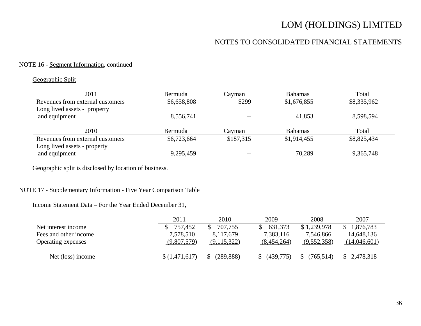## NOTES TO CONSOLIDATED FINANCIAL STATEMENTS

## NOTE 16 - Segment Information, continued

## Geographic Split

| 2011                             | <b>Bermuda</b> | Cavman    | <b>Bahamas</b> | Total       |
|----------------------------------|----------------|-----------|----------------|-------------|
| Revenues from external customers | \$6,658,808    | \$299     | \$1,676,855    | \$8,335,962 |
| Long lived assets - property     |                |           |                |             |
| and equipment                    | 8,556,741      | $- -$     | 41,853         | 8,598,594   |
|                                  |                |           |                |             |
| 2010                             | Bermuda        | Cayman    | <b>Bahamas</b> | Total       |
| Revenues from external customers | \$6,723,664    | \$187,315 | \$1,914,455    | \$8,825,434 |
|                                  |                |           |                |             |
| Long lived assets - property     |                |           |                |             |

Geographic split is disclosed by location of business.

## NOTE 17 - Supplementary Information - Five Year Comparison Table

## Income Statement Data – For the Year Ended December 31,

|                       | 2011          | 2010        | 2009        | 2008        | 2007         |
|-----------------------|---------------|-------------|-------------|-------------|--------------|
| Net interest income   | 757,452       | 707,755     | 631,373     | \$1,239,978 | 1,876,783    |
| Fees and other income | 7,578,510     | 8,117,679   | 7,383,116   | 7,546,866   | 14,648,136   |
| Operating expenses    | (9,807,579)   | (9,115,322) | (8,454,264) | (9,552,358) | (14,046,601) |
| Net (loss) income     | \$(1,471,617) | (289, 888)  | (439,775)   | (765, 514)  | 2,478,318    |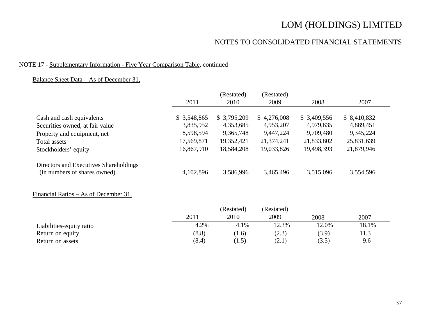## NOTES TO CONSOLIDATED FINANCIAL STATEMENTS

## NOTE 17 - Supplementary Information - Five Year Comparison Table, continued

## Balance Sheet Data – As of December 31,

|                                                                        |             | (Restated)  | (Restated)  |             |              |
|------------------------------------------------------------------------|-------------|-------------|-------------|-------------|--------------|
|                                                                        | 2011        | 2010        | 2009        | 2008        | 2007         |
|                                                                        |             |             |             |             |              |
| Cash and cash equivalents                                              | \$3,548,865 | \$3,795,209 | \$4,276,008 | \$3,409,556 | \$ 8,410,832 |
| Securities owned, at fair value                                        | 3,835,952   | 4,353,685   | 4,953,207   | 4,979,635   | 4,889,451    |
| Property and equipment, net                                            | 8,598,594   | 9,365,748   | 9,447,224   | 9,709,480   | 9,345,224    |
| Total assets                                                           | 17,569,871  | 19,352,421  | 21,374,241  | 21,833,802  | 25,831,639   |
| Stockholders' equity                                                   | 16,867,910  | 18,584,208  | 19,033,826  | 19,498,393  | 21,879,946   |
| Directors and Executives Shareholdings<br>(in numbers of shares owned) | 4,102,896   | 3,586,996   | 3,465,496   | 3,515,096   | 3,554,596    |

## Financial Ratios – As of December 31,

|                          |       | (Restated) | (Restated) |       |       |
|--------------------------|-------|------------|------------|-------|-------|
|                          | 201.  | 2010       | 2009       | 2008  | 2007  |
| Liabilities-equity ratio | 4.2%  | 4.1%       | 12.3%      | 12.0% | 18.1% |
| Return on equity         | (8.8) | (1.6)      | (2.3)      | (3.9) | 11.3  |
| Return on assets         | (8.4) | (1.5)      | (2.1)      | (3.5) | 9.6   |